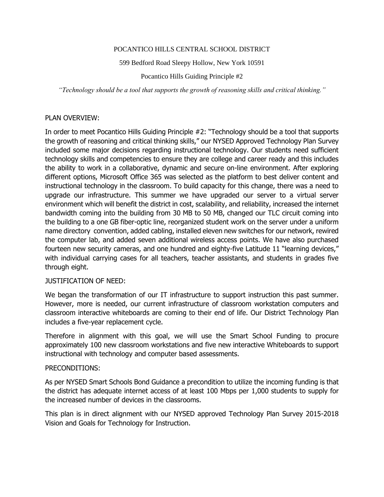### POCANTICO HILLS CENTRAL SCHOOL DISTRICT

#### 599 Bedford Road Sleepy Hollow, New York 10591

### Pocantico Hills Guiding Principle #2

*"Technology should be a tool that supports the growth of reasoning skills and critical thinking."*

### PLAN OVERVIEW:

In order to meet Pocantico Hills Guiding Principle #2: "Technology should be a tool that supports the growth of reasoning and critical thinking skills," our NYSED Approved Technology Plan Survey included some major decisions regarding instructional technology. Our students need sufficient technology skills and competencies to ensure they are college and career ready and this includes the ability to work in a collaborative, dynamic and secure on-line environment. After exploring different options, Microsoft Office 365 was selected as the platform to best deliver content and instructional technology in the classroom. To build capacity for this change, there was a need to upgrade our infrastructure. This summer we have upgraded our server to a virtual server environment which will benefit the district in cost, scalability, and reliability, increased the internet bandwidth coming into the building from 30 MB to 50 MB, changed our TLC circuit coming into the building to a one GB fiber-optic line, reorganized student work on the server under a uniform name directory convention, added cabling, installed eleven new switches for our network, rewired the computer lab, and added seven additional wireless access points. We have also purchased fourteen new security cameras, and one hundred and eighty-five Latitude 11 "learning devices," with individual carrying cases for all teachers, teacher assistants, and students in grades five through eight.

### JUSTIFICATION OF NEED:

We began the transformation of our IT infrastructure to support instruction this past summer. However, more is needed, our current infrastructure of classroom workstation computers and classroom interactive whiteboards are coming to their end of life. Our District Technology Plan includes a five-year replacement cycle.

Therefore in alignment with this goal, we will use the Smart School Funding to procure approximately 100 new classroom workstations and five new interactive Whiteboards to support instructional with technology and computer based assessments.

### PRECONDITIONS:

As per NYSED Smart Schools Bond Guidance a precondition to utilize the incoming funding is that the district has adequate internet access of at least 100 Mbps per 1,000 students to supply for the increased number of devices in the classrooms.

This plan is in direct alignment with our NYSED approved Technology Plan Survey 2015-2018 Vision and Goals for Technology for Instruction.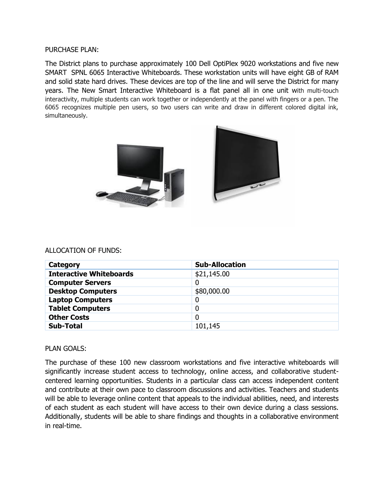PURCHASE PLAN:

The District plans to purchase approximately 100 Dell OptiPlex 9020 workstations and five new SMART SPNL 6065 Interactive Whiteboards. These workstation units will have eight GB of RAM and solid state hard drives. These devices are top of the line and will serve the District for many years. The New Smart Interactive Whiteboard is a flat panel all in one unit with multi-touch interactivity, multiple students can work together or independently at the panel with fingers or a pen. The 6065 recognizes multiple pen users, so two users can write and draw in different colored digital ink, simultaneously.



### ALLOCATION OF FUNDS:

| Category                       | <b>Sub-Allocation</b> |
|--------------------------------|-----------------------|
| <b>Interactive Whiteboards</b> | \$21,145.00           |
| <b>Computer Servers</b>        | 0                     |
| <b>Desktop Computers</b>       | \$80,000.00           |
| <b>Laptop Computers</b>        | 0                     |
| <b>Tablet Computers</b>        | 0                     |
| <b>Other Costs</b>             | 0                     |
| <b>Sub-Total</b>               | 101,145               |

# PLAN GOALS:

The purchase of these 100 new classroom workstations and five interactive whiteboards will significantly increase student access to technology, online access, and collaborative studentcentered learning opportunities. Students in a particular class can access independent content and contribute at their own pace to classroom discussions and activities. Teachers and students will be able to leverage online content that appeals to the individual abilities, need, and interests of each student as each student will have access to their own device during a class sessions. Additionally, students will be able to share findings and thoughts in a collaborative environment in real-time.